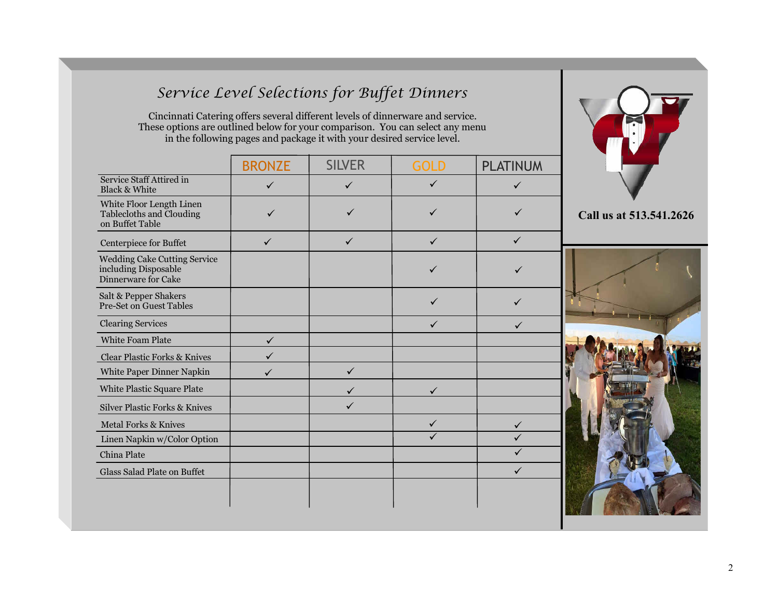# *Service Level Selections for Buffet Dinners*

Cincinnati Catering offers several different levels of dinnerware and service. These options are outlined below for your comparison. You can select any menu in the following pages and package it with your desired service level.

|                                                                                    | <b>BRONZE</b> | <b>SILVER</b> | <b>GOLD</b>  | <b>PLATINUM</b> |
|------------------------------------------------------------------------------------|---------------|---------------|--------------|-----------------|
| Service Staff Attired in<br><b>Black &amp; White</b>                               | ✓             | $\checkmark$  | ✓            | $\checkmark$    |
| White Floor Length Linen<br>Tablecloths and Clouding<br>on Buffet Table            |               |               |              |                 |
| Centerpiece for Buffet                                                             | $\checkmark$  | $\checkmark$  | $\checkmark$ | $\checkmark$    |
| <b>Wedding Cake Cutting Service</b><br>including Disposable<br>Dinnerware for Cake |               |               |              |                 |
| Salt & Pepper Shakers<br><b>Pre-Set on Guest Tables</b>                            |               |               | ✓            |                 |
| <b>Clearing Services</b>                                                           |               |               |              |                 |
| <b>White Foam Plate</b>                                                            | $\checkmark$  |               |              |                 |
| <b>Clear Plastic Forks &amp; Knives</b>                                            |               |               |              |                 |
| White Paper Dinner Napkin                                                          |               | ✓             |              |                 |
| White Plastic Square Plate                                                         |               |               |              |                 |
| <b>Silver Plastic Forks &amp; Knives</b>                                           |               | ✓             |              |                 |
| <b>Metal Forks &amp; Knives</b>                                                    |               |               | ✓            | $\checkmark$    |
| Linen Napkin w/Color Option                                                        |               |               |              |                 |
| China Plate                                                                        |               |               |              |                 |
| Glass Salad Plate on Buffet                                                        |               |               |              | $\checkmark$    |
|                                                                                    |               |               |              |                 |



**Call us at 513.541.2626**